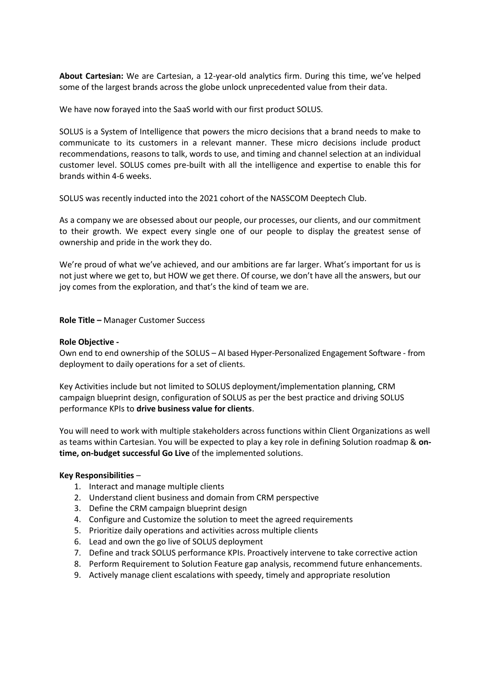**About Cartesian:** We are Cartesian, a 12-year-old analytics firm. During this time, we've helped some of the largest brands across the globe unlock unprecedented value from their data.

We have now forayed into the SaaS world with our first product SOLUS.

SOLUS is a System of Intelligence that powers the micro decisions that a brand needs to make to communicate to its customers in a relevant manner. These micro decisions include product recommendations, reasons to talk, words to use, and timing and channel selection at an individual customer level. SOLUS comes pre-built with all the intelligence and expertise to enable this for brands within 4-6 weeks.

SOLUS was recently inducted into the 2021 cohort of the NASSCOM Deeptech Club.

As a company we are obsessed about our people, our processes, our clients, and our commitment to their growth. We expect every single one of our people to display the greatest sense of ownership and pride in the work they do.

We're proud of what we've achieved, and our ambitions are far larger. What's important for us is not just where we get to, but HOW we get there. Of course, we don't have all the answers, but our joy comes from the exploration, and that's the kind of team we are.

**Role Title –** Manager Customer Success

## **Role Objective -**

Own end to end ownership of the SOLUS – AI based Hyper-Personalized Engagement Software - from deployment to daily operations for a set of clients.

Key Activities include but not limited to SOLUS deployment/implementation planning, CRM campaign blueprint design, configuration of SOLUS as per the best practice and driving SOLUS performance KPIs to **drive business value for clients**.

You will need to work with multiple stakeholders across functions within Client Organizations as well as teams within Cartesian. You will be expected to play a key role in defining Solution roadmap & **ontime, on-budget successful Go Live** of the implemented solutions.

## **Key Responsibilities** –

- 1. Interact and manage multiple clients
- 2. Understand client business and domain from CRM perspective
- 3. Define the CRM campaign blueprint design
- 4. Configure and Customize the solution to meet the agreed requirements
- 5. Prioritize daily operations and activities across multiple clients
- 6. Lead and own the go live of SOLUS deployment
- 7. Define and track SOLUS performance KPIs. Proactively intervene to take corrective action
- 8. Perform Requirement to Solution Feature gap analysis, recommend future enhancements.
- 9. Actively manage client escalations with speedy, timely and appropriate resolution